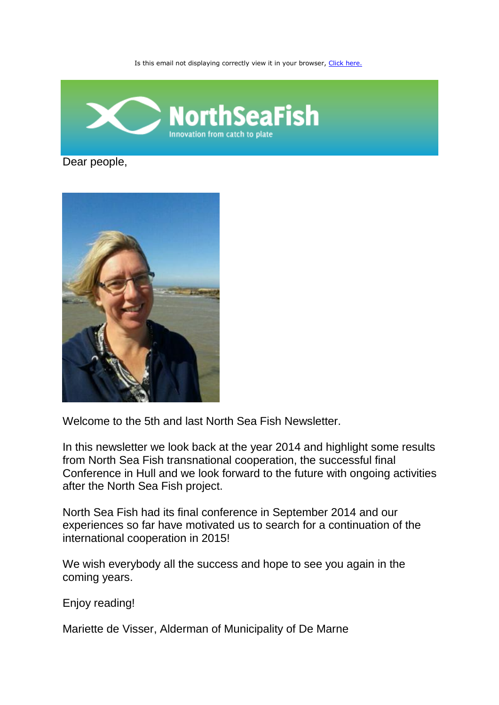Is this email not displaying correctly view it in your browser, [Click here.](http://www.northseafish.eu/newsletters/view/15/)



Dear people,



Welcome to the 5th and last North Sea Fish Newsletter.

In this newsletter we look back at the year 2014 and highlight some results from North Sea Fish transnational cooperation, the successful final Conference in Hull and we look forward to the future with ongoing activities after the North Sea Fish project.

North Sea Fish had its final conference in September 2014 and our experiences so far have motivated us to search for a continuation of the international cooperation in 2015!

We wish everybody all the success and hope to see you again in the coming years.

Enjoy reading!

Mariette de Visser, Alderman of Municipality of De Marne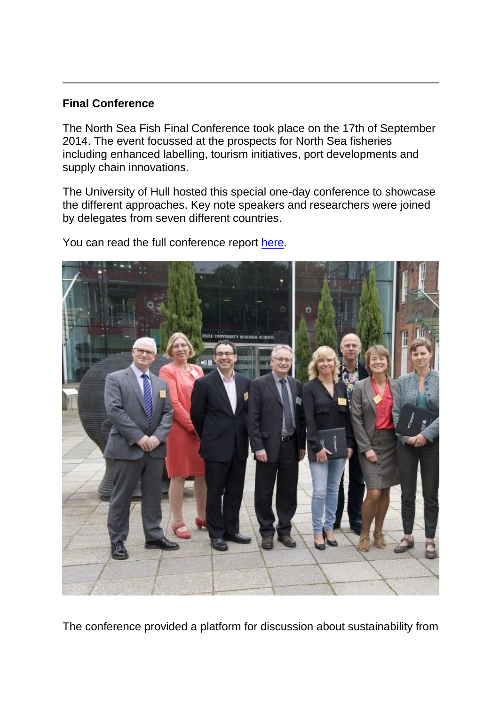# **Final Conference**

The North Sea Fish Final Conference took place on the 17th of September 2014. The event focussed at the prospects for North Sea fisheries including enhanced labelling, tourism initiatives, port developments and supply chain innovations.

The University of Hull hosted this special one-day conference to showcase the different approaches. Key note speakers and researchers were joined by delegates from seven different countries.

You can read the full conference report [here](http://www.northseafish.eu/uploads/pagetree/files/Final%20Conference%20North%20Sea%20Fish%20Report.pdf).



The conference provided a platform for discussion about sustainability from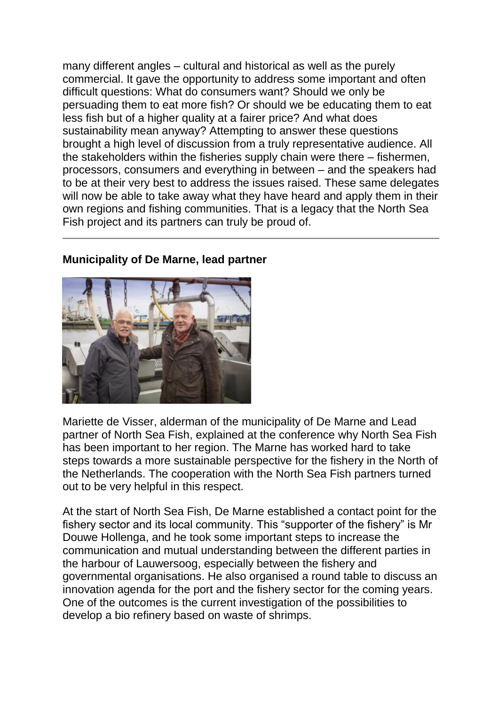many different angles – cultural and historical as well as the purely commercial. It gave the opportunity to address some important and often difficult questions: What do consumers want? Should we only be persuading them to eat more fish? Or should we be educating them to eat less fish but of a higher quality at a fairer price? And what does sustainability mean anyway? Attempting to answer these questions brought a high level of discussion from a truly representative audience. All the stakeholders within the fisheries supply chain were there – fishermen, processors, consumers and everything in between – and the speakers had to be at their very best to address the issues raised. These same delegates will now be able to take away what they have heard and apply them in their own regions and fishing communities. That is a legacy that the North Sea Fish project and its partners can truly be proud of.

## **Municipality of De Marne, lead partner**

Mariette de Visser, alderman of the municipality of De Marne and Lead partner of North Sea Fish, explained at the conference why North Sea Fish has been important to her region. The Marne has worked hard to take steps towards a more sustainable perspective for the fishery in the North of the Netherlands. The cooperation with the North Sea Fish partners turned out to be very helpful in this respect.

At the start of North Sea Fish, De Marne established a contact point for the fishery sector and its local community. This "supporter of the fishery" is Mr Douwe Hollenga, and he took some important steps to increase the communication and mutual understanding between the different parties in the harbour of Lauwersoog, especially between the fishery and governmental organisations. He also organised a round table to discuss an innovation agenda for the port and the fishery sector for the coming years. One of the outcomes is the current investigation of the possibilities to develop a bio refinery based on waste of shrimps.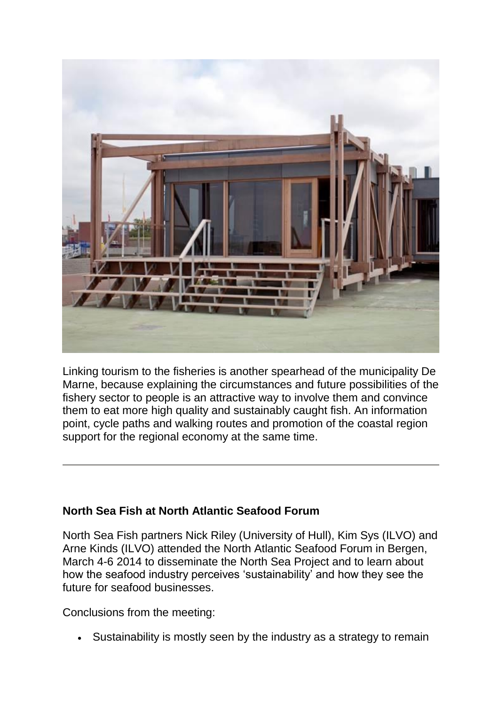

Linking tourism to the fisheries is another spearhead of the municipality De Marne, because explaining the circumstances and future possibilities of the fishery sector to people is an attractive way to involve them and convince them to eat more high quality and sustainably caught fish. An information point, cycle paths and walking routes and promotion of the coastal region support for the regional economy at the same time.

# **North Sea Fish at North Atlantic Seafood Forum**

North Sea Fish partners Nick Riley (University of Hull), Kim Sys (ILVO) and Arne Kinds (ILVO) attended the North Atlantic Seafood Forum in Bergen, March 4-6 2014 to disseminate the North Sea Project and to learn about how the seafood industry perceives 'sustainability' and how they see the future for seafood businesses.

Conclusions from the meeting:

Sustainability is mostly seen by the industry as a strategy to remain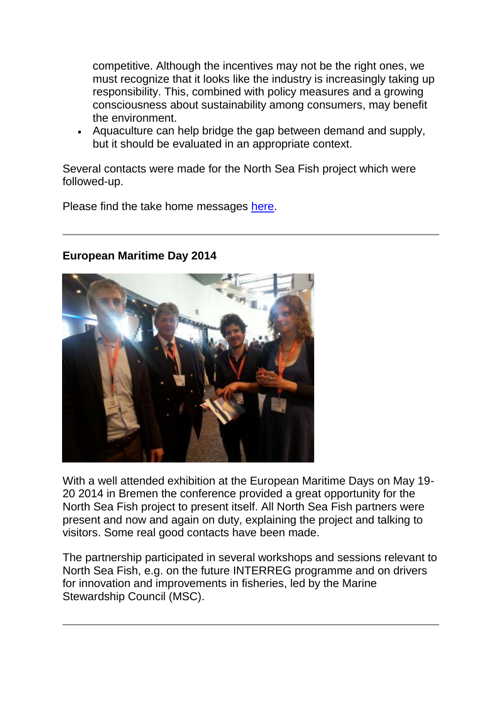competitive. Although the incentives may not be the right ones, we must recognize that it looks like the industry is increasingly taking up responsibility. This, combined with policy measures and a growing consciousness about sustainability among consumers, may benefit the environment.

 Aquaculture can help bridge the gap between demand and supply, but it should be evaluated in an appropriate context.

Several contacts were made for the North Sea Fish project which were followed-up.

Please find the take home messages [here.](http://www.northseafish.eu/uploads/pagetree/files/NSF_march2014_NASF_take%20home%20message.pdf)

# **European Maritime Day 2014**

With a well attended exhibition at the European Maritime Days on May 19- 20 2014 in Bremen the conference provided a great opportunity for the North Sea Fish project to present itself. All North Sea Fish partners were present and now and again on duty, explaining the project and talking to visitors. Some real good contacts have been made.

The partnership participated in several workshops and sessions relevant to North Sea Fish, e.g. on the future INTERREG programme and on drivers for innovation and improvements in fisheries, led by the Marine Stewardship Council (MSC).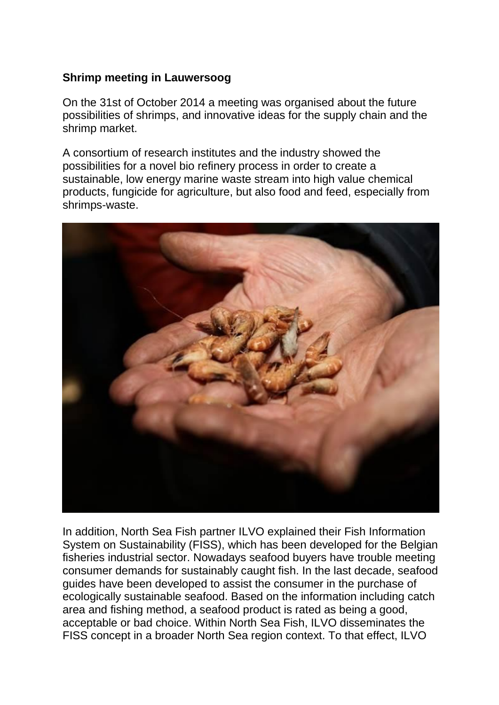## **Shrimp meeting in Lauwersoog**

On the 31st of October 2014 a meeting was organised about the future possibilities of shrimps, and innovative ideas for the supply chain and the shrimp market.

A consortium of research institutes and the industry showed the possibilities for a novel bio refinery process in order to create a sustainable, low energy marine waste stream into high value chemical products, fungicide for agriculture, but also food and feed, especially from shrimps-waste.



In addition, North Sea Fish partner ILVO explained their Fish Information System on Sustainability (FISS), which has been developed for the Belgian fisheries industrial sector. Nowadays seafood buyers have trouble meeting consumer demands for sustainably caught fish. In the last decade, seafood guides have been developed to assist the consumer in the purchase of ecologically sustainable seafood. Based on the information including catch area and fishing method, a seafood product is rated as being a good, acceptable or bad choice. Within North Sea Fish, ILVO disseminates the FISS concept in a broader North Sea region context. To that effect, ILVO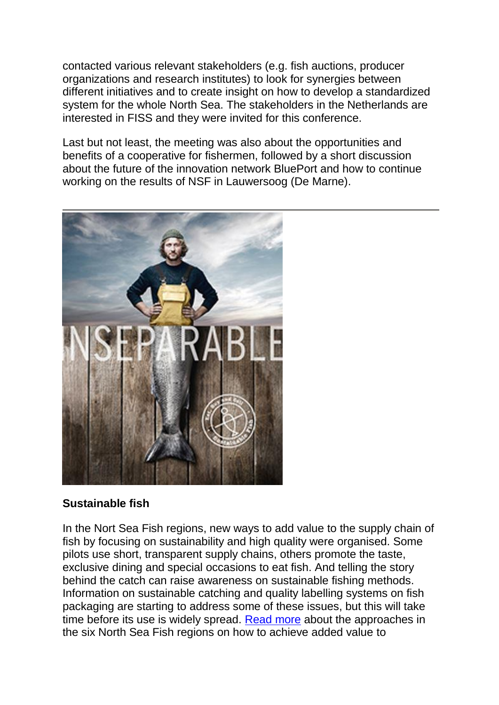contacted various relevant stakeholders (e.g. fish auctions, producer organizations and research institutes) to look for synergies between different initiatives and to create insight on how to develop a standardized system for the whole North Sea. The stakeholders in the Netherlands are interested in FISS and they were invited for this conference.

Last but not least, the meeting was also about the opportunities and benefits of a cooperative for fishermen, followed by a short discussion about the future of the innovation network BluePort and how to continue working on the results of NSF in Lauwersoog (De Marne).



# **Sustainable fish**

In the Nort Sea Fish regions, new ways to add value to the supply chain of fish by focusing on sustainability and high quality were organised. Some pilots use short, transparent supply chains, others promote the taste, exclusive dining and special occasions to eat fish. And telling the story behind the catch can raise awareness on sustainable fishing methods. Information on sustainable catching and quality labelling systems on fish packaging are starting to address some of these issues, but this will take time before its use is widely spread. [Read more](http://www.northseafish.eu/uploads/pagetree/files/NSF_folder_4-luik_LA3_DEF%20herdruk.pdf) about the approaches in the six North Sea Fish regions on how to achieve added value to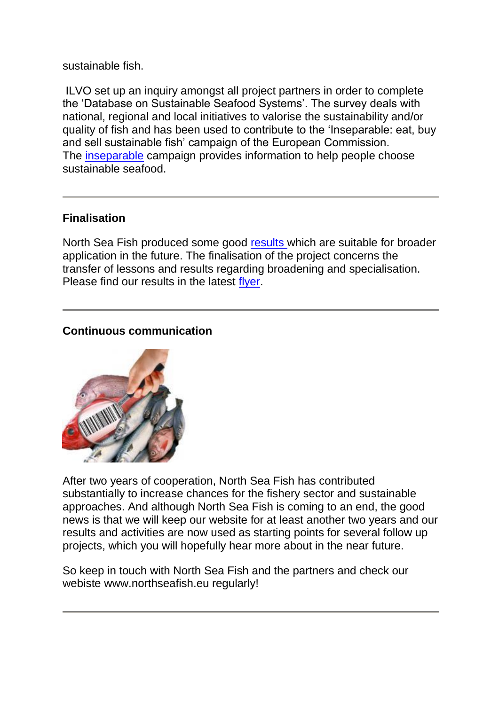sustainable fish.

ILVO set up an inquiry amongst all project partners in order to complete the 'Database on Sustainable Seafood Systems'. The survey deals with national, regional and local initiatives to valorise the sustainability and/or quality of fish and has been used to contribute to the 'Inseparable: eat, buy and sell sustainable fish' campaign of the European Commission. The **[inseparable](http://ec.europa.eu/fisheries/inseparable/en/home)** campaign provides information to help people choose sustainable seafood.

# **Finalisation**

North Sea Fish produced some good [results](http://www.northseafish.eu/summary-4th-report-page/) which are suitable for broader application in the future. The finalisation of the project concerns the transfer of lessons and results regarding broadening and specialisation. Please find our results in the latest [flyer.](http://www.northseafish.eu/uploads/pagetree/files/NSF_A5_kaart_2014_inlegvel%20final%20results.pdf)

### **Continuous communication**



After two years of cooperation, North Sea Fish has contributed substantially to increase chances for the fishery sector and sustainable approaches. And although North Sea Fish is coming to an end, the good news is that we will keep our website for at least another two years and our results and activities are now used as starting points for several follow up projects, which you will hopefully hear more about in the near future.

So keep in touch with North Sea Fish and the partners and check our webiste www.northseafish.eu regularly!